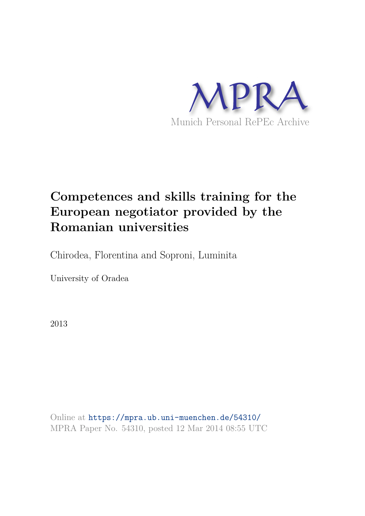

# **Competences and skills training for the European negotiator provided by the Romanian universities**

Chirodea, Florentina and Soproni, Luminita

University of Oradea

2013

Online at https://mpra.ub.uni-muenchen.de/54310/ MPRA Paper No. 54310, posted 12 Mar 2014 08:55 UTC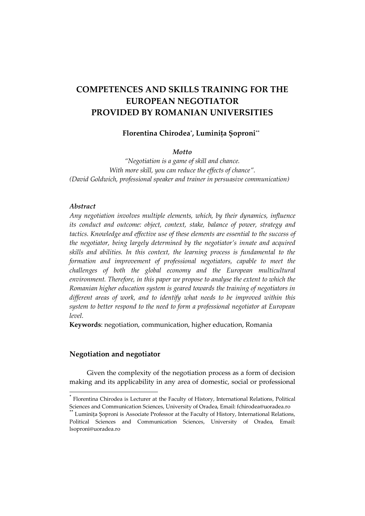# **COMPETENCES AND SKILLS TRAINING FOR THE EUROPEAN NEGOTIATOR PROVIDED BY ROMANIAN UNIVERSITIES**

# **Florentina Chirodea\* , Luminița Șoproni\*\***

### *Motto*

*"Negotiation is a game of skill and chance. With more skill, you can reduce the effects of chance". (David Goldwich, professional speaker and trainer in persuasive communication)* 

#### *Abstract*

 $\overline{a}$ 

*Any negotiation involves multiple elements, which, by their dynamics, influence its conduct and outcome: object, context, stake, balance of power, strategy and tactics. Knowledge and effective use of these elements are essential to the success of the negotiator, being largely determined by the negotiator's innate and acquired skills and abilities. In this context, the learning process is fundamental to the formation and improvement of professional negotiators, capable to meet the challenges of both the global economy and the European multicultural environment. Therefore, in this paper we propose to analyse the extent to which the Romanian higher education system is geared towards the training of negotiators in different areas of work, and to identify what needs to be improved within this system to better respond to the need to form a professional negotiator at European level.* 

**Keywords**: negotiation, communication, higher education, Romania

## **Negotiation and negotiator**

Given the complexity of the negotiation process as a form of decision making and its applicability in any area of domestic, social or professional

<sup>\*</sup> Florentina Chirodea is Lecturer at the Faculty of History, International Relations, Political Sciences and Communication Sciences, University of Oradea, Email: fchirodea@uoradea.ro

Luminita Soproni is Associate Professor at the Faculty of History, International Relations, Political Sciences and Communication Sciences, University of Oradea, Email: lsoproni@uoradea.ro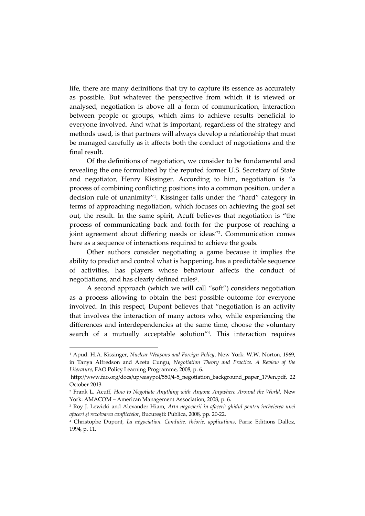life, there are many definitions that try to capture its essence as accurately as possible. But whatever the perspective from which it is viewed or analysed, negotiation is above all a form of communication, interaction between people or groups, which aims to achieve results beneficial to everyone involved. And what is important, regardless of the strategy and methods used, is that partners will always develop a relationship that must be managed carefully as it affects both the conduct of negotiations and the final result.

Of the definitions of negotiation, we consider to be fundamental and revealing the one formulated by the reputed former U.S. Secretary of State and negotiator, Henry Kissinger. According to him, negotiation is "a process of combining conflicting positions into a common position, under a decision rule of unanimity" 1 . Kissinger falls under the "hard" category in terms of approaching negotiation, which focuses on achieving the goal set out, the result. In the same spirit, Acuff believes that negotiation is "the process of communicating back and forth for the purpose of reaching a joint agreement about differing needs or ideas" 2 . Communication comes here as a sequence of interactions required to achieve the goals.

Other authors consider negotiating a game because it implies the ability to predict and control what is happening, has a predictable sequence of activities, has players whose behaviour affects the conduct of negotiations, and has clearly defined rules $3$ .

A second approach (which we will call "soft") considers negotiation as a process allowing to obtain the best possible outcome for everyone involved. In this respect, Dupont believes that "negotiation is an activity that involves the interaction of many actors who, while experiencing the differences and interdependencies at the same time, choose the voluntary search of a mutually acceptable solution" 4 . This interaction requires

<sup>1</sup> Apud. H.A. Kissinger, *Nuclear Weapons and Foreign Policy*, New York: W.W. Norton, 1969, in Tanya Alfredson and Azeta Cungu, *Negotiation Theory and Practice. A Review of the Literature*, FAO Policy Learning Programme, 2008, p. 6.

http://www.fao.org/docs/up/easypol/550/4-5\_negotiation\_background\_paper\_179en.pdf, 22 October 2013.

<sup>2</sup> Frank L. Acuff, *How to Negotiate Anything with Anyone Anywhere Around the World*, New York: AMACOM – American Management Association, 2008, p. 6.

<sup>3</sup> Roy J. Lewicki and Alexander Hiam, *Arta negocierii în afaceri: ghidul pentru încheierea unei afaceri și rezolvarea conflictelor*, București: Publica, 2008, pp. 20-22.

<sup>4</sup> Christophe Dupont, *La négociation. Conduite, théorie, applications*, Paris: Editions Dalloz, 1994, p. 11.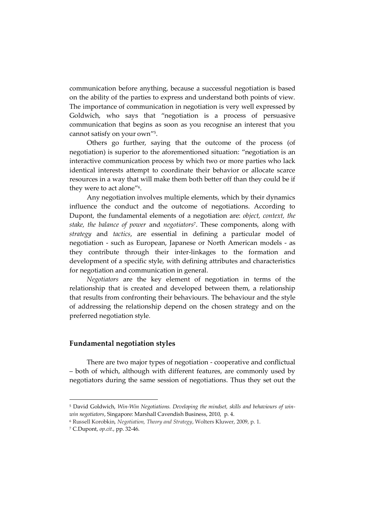communication before anything, because a successful negotiation is based on the ability of the parties to express and understand both points of view. The importance of communication in negotiation is very well expressed by Goldwich, who says that "negotiation is a process of persuasive communication that begins as soon as you recognise an interest that you cannot satisfy on your own" 5 .

Others go further, saying that the outcome of the process (of negotiation) is superior to the aforementioned situation: "negotiation is an interactive communication process by which two or more parties who lack identical interests attempt to coordinate their behavior or allocate scarce resources in a way that will make them both better off than they could be if they were to act alone"<sup>6</sup>.

Any negotiation involves multiple elements, which by their dynamics influence the conduct and the outcome of negotiations. According to Dupont, the fundamental elements of a negotiation are: *object, context, the stake, the balance of power* and *negotiators*<sup>7</sup> . These components, along with *strategy* and *tactics*, are essential in defining a particular model of negotiation - such as European, Japanese or North American models - as they contribute through their inter-linkages to the formation and development of a specific style, with defining attributes and characteristics for negotiation and communication in general.

*Negotiators* are the key element of negotiation in terms of the relationship that is created and developed between them, a relationship that results from confronting their behaviours. The behaviour and the style of addressing the relationship depend on the chosen strategy and on the preferred negotiation style*.*

#### **Fundamental negotiation styles**

There are two major types of negotiation - cooperative and conflictual – both of which, although with different features, are commonly used by negotiators during the same session of negotiations. Thus they set out the

<sup>5</sup> David Goldwich, *Win-Win Negotiations. Developing the mindset, skills and behaviours of winwin negotiators*, Singapore: Marshall Cavendish Business, 2010, p. 4.

<sup>6</sup> Russell Korobkin, *Negotiation, Theory and Strategy*, Wolters Kluwer, 2009, p. 1.

<sup>7</sup> C.Dupont, *op.cit.*, pp. 32-46.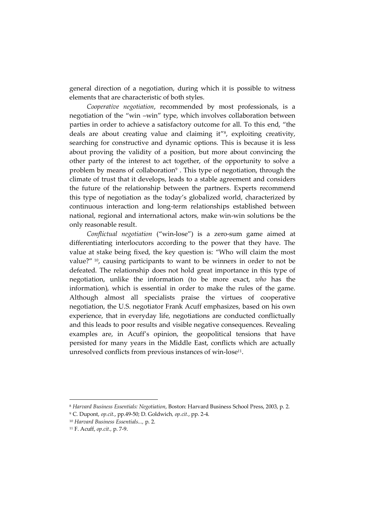general direction of a negotiation, during which it is possible to witness elements that are characteristic of both styles.

*Cooperative negotiation*, recommended by most professionals, is a negotiation of the "win –win" type, which involves collaboration between parties in order to achieve a satisfactory outcome for all. To this end, "the deals are about creating value and claiming it" 8 , exploiting creativity, searching for constructive and dynamic options. This is because it is less about proving the validity of a position, but more about convincing the other party of the interest to act together, of the opportunity to solve a problem by means of collaboration<sup>9</sup>. This type of negotiation, through the climate of trust that it develops, leads to a stable agreement and considers the future of the relationship between the partners. Experts recommend this type of negotiation as the today's globalized world, characterized by continuous interaction and long-term relationships established between national, regional and international actors, make win-win solutions be the only reasonable result.

*Conflictual negotiation* ("win-lose") is a zero-sum game aimed at differentiating interlocutors according to the power that they have. The value at stake being fixed, the key question is: "Who will claim the most value?"<sup>10</sup>, causing participants to want to be winners in order to not be defeated. The relationship does not hold great importance in this type of negotiation, unlike the information (to be more exact, *who* has the information), which is essential in order to make the rules of the game. Although almost all specialists praise the virtues of cooperative negotiation, the U.S. negotiator Frank Acuff emphasizes, based on his own experience, that in everyday life, negotiations are conducted conflictually and this leads to poor results and visible negative consequences. Revealing examples are, in Acuff's opinion, the geopolitical tensions that have persisted for many years in the Middle East, conflicts which are actually unresolved conflicts from previous instances of win-lose<sup>11</sup>.

<sup>8</sup> *Harvard Business Essentials: Negotiation*, Boston: Harvard Business School Press, 2003, p. 2.

<sup>9</sup> C. Dupont, *op.cit.*, pp.49-50; D. Goldwich*, op.cit.*, pp. 2-4.

<sup>10</sup> *Harvard Business Essentials...,* p. 2.

<sup>11</sup> F. Acuff, *op.cit.,* p. 7-9.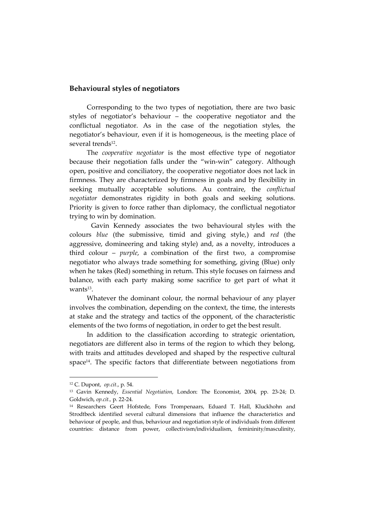#### **Behavioural styles of negotiators**

Corresponding to the two types of negotiation, there are two basic styles of negotiator's behaviour – the cooperative negotiator and the conflictual negotiator. As in the case of the negotiation styles, the negotiator's behaviour, even if it is homogeneous, is the meeting place of several trends<sup>12</sup>.

The *cooperative negotiator* is the most effective type of negotiator because their negotiation falls under the "win-win" category. Although open, positive and conciliatory, the cooperative negotiator does not lack in firmness. They are characterized by firmness in goals and by flexibility in seeking mutually acceptable solutions. Au contraire, the *conflictual negotiator* demonstrates rigidity in both goals and seeking solutions. Priority is given to force rather than diplomacy, the conflictual negotiator trying to win by domination.

 Gavin Kennedy associates the two behavioural styles with the colours *blue* (the submissive, timid and giving style,) and *red* (the aggressive, domineering and taking style) and, as a novelty, introduces a third colour – *purple*, a combination of the first two, a compromise negotiator who always trade something for something, giving (Blue) only when he takes (Red) something in return. This style focuses on fairness and balance, with each party making some sacrifice to get part of what it  $wants<sup>13</sup>$ .

Whatever the dominant colour, the normal behaviour of any player involves the combination, depending on the context, the time, the interests at stake and the strategy and tactics of the opponent, of the characteristic elements of the two forms of negotiation, in order to get the best result.

In addition to the classification according to strategic orientation, negotiators are different also in terms of the region to which they belong, with traits and attitudes developed and shaped by the respective cultural space<sup>14</sup> . The specific factors that differentiate between negotiations from

<sup>12</sup> C. Dupont, *op.cit.*, p. 54.

<sup>13</sup> Gavin Kennedy, *Essential Negotiation*, London: The Economist, 2004, pp. 23-24; D. Goldwich, *op.cit.,* p. 22-24.

<sup>14</sup> Researchers Geert Hofstede, Fons Trompenaars, Eduard T. Hall, Kluckhohn and Strodtbeck identified several cultural dimensions that influence the characteristics and behaviour of people, and thus, behaviour and negotiation style of individuals from different countries: distance from power, collectivism/individualism, femininity/masculinity,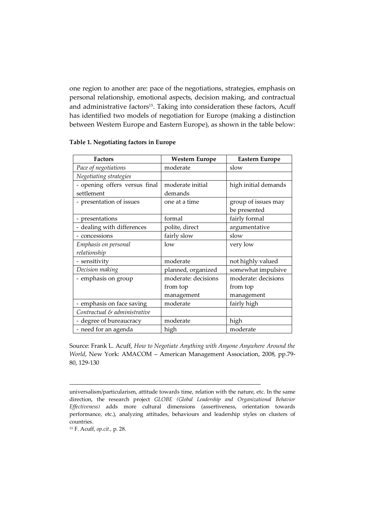one region to another are: pace of the negotiations, strategies, emphasis on personal relationship, emotional aspects, decision making, and contractual and administrative factors<sup>15</sup>. Taking into consideration these factors, Acuff has identified two models of negotiation for Europe (making a distinction between Western Europe and Eastern Europe), as shown in the table below:

| <b>Factors</b>                | <b>Western Europe</b> | <b>Eastern Europe</b> |  |  |
|-------------------------------|-----------------------|-----------------------|--|--|
| Pace of negotiations          | moderate              | slow                  |  |  |
| Negotiating strategies        |                       |                       |  |  |
| - opening offers versus final | moderate initial      | high initial demands  |  |  |
| settlement                    | demands               |                       |  |  |
| - presentation of issues      | one at a time         | group of issues may   |  |  |
|                               |                       | be presented          |  |  |
| - presentations               | formal                | fairly formal         |  |  |
| - dealing with differences    | polite, direct        | argumentative         |  |  |
| - concessions                 | fairly slow           | slow                  |  |  |
| Emphasis on personal          | low                   | very low              |  |  |
| relationship                  |                       |                       |  |  |
| - sensitivity                 | moderate              | not highly valued     |  |  |
| Decision making               | planned, organized    | somewhat impulsive    |  |  |
| - emphasis on group           | moderate: decisions   | moderate: decisions   |  |  |
|                               | from top              | from top              |  |  |
|                               | management            | management            |  |  |
| - emphasis on face saving     | moderate              | fairly high           |  |  |
| Contractual & administrative  |                       |                       |  |  |
| - degree of bureaucracy       | moderate              | high                  |  |  |
| - need for an agenda          | high                  | moderate              |  |  |

#### **Table 1. Negotiating factors in Europe**

Source: Frank L. Acuff, *How to Negotiate Anything with Anyone Anywhere Around the World*, New York: AMACOM – American Management Association, 2008, pp.79- 80, 129-130

universalism/particularism, attitude towards time, relation with the nature, etc. In the same direction, the research project *GLOBE (Global Leadership and Organizational Behavior Effectiveness)* adds more cultural dimensions (assertiveness, orientation towards performance, etc.), analyzing attitudes, behaviours and leadership styles on clusters of countries.

<sup>15</sup> F. Acuff, *op.cit.,* p. 28.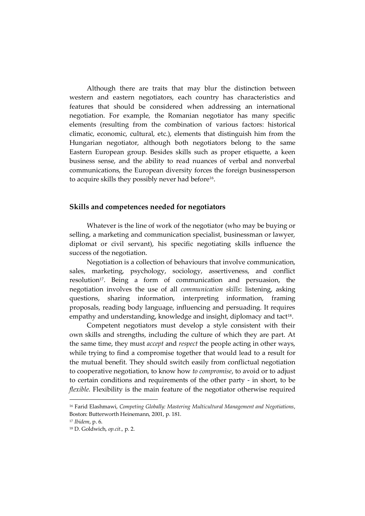Although there are traits that may blur the distinction between western and eastern negotiators, each country has characteristics and features that should be considered when addressing an international negotiation. For example, the Romanian negotiator has many specific elements (resulting from the combination of various factors: historical climatic, economic, cultural, etc.), elements that distinguish him from the Hungarian negotiator, although both negotiators belong to the same Eastern European group. Besides skills such as proper etiquette, a keen business sense, and the ability to read nuances of verbal and nonverbal communications, the European diversity forces the foreign businessperson to acquire skills they possibly never had before<sup>16</sup>.

#### **Skills and competences needed for negotiators**

Whatever is the line of work of the negotiator (who may be buying or selling, a marketing and communication specialist, businessman or lawyer, diplomat or civil servant), his specific negotiating skills influence the success of the negotiation.

Negotiation is a collection of behaviours that involve communication, sales, marketing, psychology, sociology, assertiveness, and conflict resolution<sup>17</sup>. Being a form of communication and persuasion, the negotiation involves the use of all *communication skills*: listening, asking questions, sharing information, interpreting information, framing proposals, reading body language, influencing and persuading. It requires empathy and understanding, knowledge and insight, diplomacy and tact<sup>18</sup>.

Competent negotiators must develop a style consistent with their own skills and strengths, including the culture of which they are part. At the same time, they must *accept* and *respect* the people acting in other ways, while trying to find a compromise together that would lead to a result for the mutual benefit. They should switch easily from conflictual negotiation to cooperative negotiation, to know how *to compromise*, to avoid or to adjust to certain conditions and requirements of the other party - in short, to be *flexible*. Flexibility is the main feature of the negotiator otherwise required

<sup>16</sup> Farid Elashmawi, *Competing Globally: Mastering Multicultural Management and Negotiations*, Boston: Butterworth Heinemann, 2001, p. 181.

<sup>17</sup> *Ibidem*, p. 6.

<sup>18</sup> D. Goldwich, *op.cit.,* p. 2.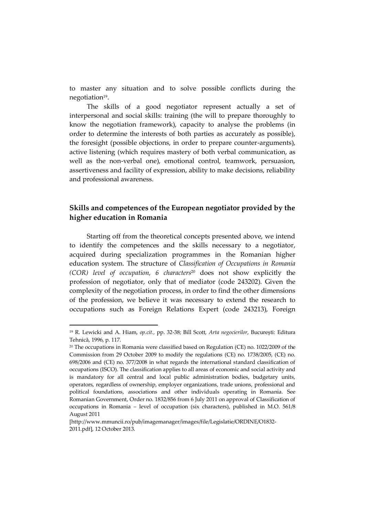to master any situation and to solve possible conflicts during the negotiation<sup>19</sup>.

The skills of a good negotiator represent actually a set of interpersonal and social skills: training (the will to prepare thoroughly to know the negotiation framework), capacity to analyse the problems (in order to determine the interests of both parties as accurately as possible), the foresight (possible objections, in order to prepare counter-arguments), active listening (which requires mastery of both verbal communication, as well as the non-verbal one), emotional control, teamwork, persuasion, assertiveness and facility of expression, ability to make decisions, reliability and professional awareness.

# **Skills and competences of the European negotiator provided by the higher education in Romania**

Starting off from the theoretical concepts presented above, we intend to identify the competences and the skills necessary to a negotiator, acquired during specialization programmes in the Romanian higher education system. The structure of *Classification of Occupations in Romania (COR) level of occupation, 6 characters*<sup>20</sup> does not show explicitly the profession of negotiator, only that of mediator (code 243202). Given the complexity of the negotiation process, in order to find the other dimensions of the profession, we believe it was necessary to extend the research to occupations such as Foreign Relations Expert (code 243213), Foreign

<sup>19</sup> R. Lewicki and A. Hiam, *op.cit.,* pp. 32-38; Bill Scott, *Arta negocierilor*, București: Editura Tehnică, 1996, p. 117.

<sup>20</sup> The occupations in Romania were classified based on Regulation (CE) no. 1022/2009 of the Commission from 29 October 2009 to modify the regulations (CE) no. 1738/2005, (CE) no. 698/2006 and (CE) no. 377/2008 in what regards the international standard classification of occupations (ISCO). The classification applies to all areas of economic and social activity and is mandatory for all central and local public administration bodies, budgetary units, operators, regardless of ownership, employer organizations, trade unions, professional and political foundations, associations and other individuals operating in Romania. See Romanian Government, Order no. 1832/856 from 6 July 2011 on approval of Classification of occupations in Romania – level of occupation (six characters), published in M.O. 561/8 August 2011

<sup>[</sup>http://www.mmuncii.ro/pub/imagemanager/images/file/Legislatie/ORDINE/O1832- 2011.pdf], 12 October 2013.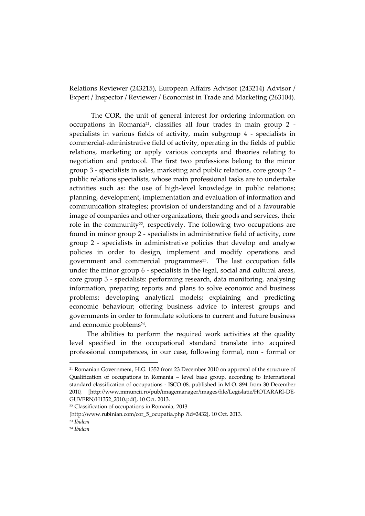Relations Reviewer (243215), European Affairs Advisor (243214) Advisor / Expert / Inspector / Reviewer / Economist in Trade and Marketing (263104).

 The COR, the unit of general interest for ordering information on occupations in Romania21, classifies all four trades in main group 2 specialists in various fields of activity, main subgroup 4 - specialists in commercial-administrative field of activity, operating in the fields of public relations, marketing or apply various concepts and theories relating to negotiation and protocol. The first two professions belong to the minor group 3 - specialists in sales, marketing and public relations, core group 2 public relations specialists, whose main professional tasks are to undertake activities such as: the use of high-level knowledge in public relations; planning, development, implementation and evaluation of information and communication strategies; provision of understanding and of a favourable image of companies and other organizations, their goods and services, their role in the community<sup>22</sup>, respectively. The following two occupations are found in minor group 2 - specialists in administrative field of activity, core group 2 - specialists in administrative policies that develop and analyse policies in order to design, implement and modify operations and government and commercial programmes<sup>23</sup>. The last occupation falls under the minor group 6 - specialists in the legal, social and cultural areas, core group 3 - specialists: performing research, data monitoring, analysing information, preparing reports and plans to solve economic and business problems; developing analytical models; explaining and predicting economic behaviour; offering business advice to interest groups and governments in order to formulate solutions to current and future business and economic problems<sup>24</sup>.

The abilities to perform the required work activities at the quality level specified in the occupational standard translate into acquired professional competences, in our case, following formal, non - formal or

<sup>21</sup> Romanian Government, H.G. 1352 from 23 December 2010 on approval of the structure of Qualification of occupations in Romania – level base group, according to International standard classification of occupations - ISCO 08, published in M.O. 894 from 30 December 2010, [http://www.mmuncii.ro/pub/imagemanager/images/file/Legislatie/HOTARARI-DE-GUVERN/H1352\_2010.pdf], 10 Oct. 2013.

<sup>22</sup> Classification of occupations in Romania, 2013

[<sup>\[</sup>http://www.rubinian.com/cor\\_5\\_ocupatia.php ?id=2432\]](http://www.rubinian.com/cor_5_ocupatia.php?id=2432), 10 Oct. 2013.

<sup>23</sup> *Ibidem*

<sup>24</sup> *[Ibidem](http://www.rubinian.com/cor_5_ocupatia.php?subsect=26&diviz=263&id=2631)*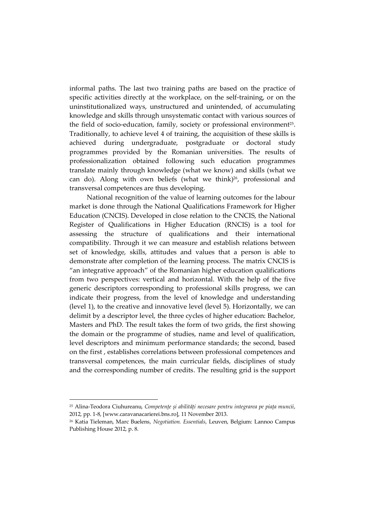informal paths. The last two training paths are based on the practice of specific activities directly at the workplace, on the self-training, or on the uninstitutionalized ways, unstructured and unintended, of accumulating knowledge and skills through unsystematic contact with various sources of the field of socio-education, family, society or professional environment<sup>25</sup>. Traditionally, to achieve level 4 of training, the acquisition of these skills is achieved during undergraduate, postgraduate or doctoral study programmes provided by the Romanian universities. The results of professionalization obtained following such education programmes translate mainly through knowledge (what we know) and skills (what we can do). Along with own beliefs (what we think) $2^6$ , professional and transversal competences are thus developing.

National recognition of the value of learning outcomes for the labour market is done through the National Qualifications Framework for Higher Education (CNCIS). Developed in close relation to the CNCIS, the National Register of Qualifications in Higher Education (RNCIS) is a tool for assessing the structure of qualifications and their international compatibility. Through it we can measure and establish relations between set of knowledge, skills, attitudes and values that a person is able to demonstrate after completion of the learning process. The matrix CNCIS is "an integrative approach" of the Romanian higher education qualifications from two perspectives: vertical and horizontal. With the help of the five generic descriptors corresponding to professional skills progress, we can indicate their progress, from the level of knowledge and understanding (level 1), to the creative and innovative level (level 5). Horizontally, we can delimit by a descriptor level, the three cycles of higher education: Bachelor, Masters and PhD. The result takes the form of two grids, the first showing the domain or the programme of studies, name and level of qualification, level descriptors and minimum performance standards; the second, based on the first , establishes correlations between professional competences and transversal competences, the main curricular fields, disciplines of study and the corresponding number of credits. The resulting grid is the support

<sup>25</sup> Alina-Teodora Ciuhureanu, *Competențe și abilități necesare pentru integrarea pe piața muncii*, 2012, pp. 1-8, [www.caravanacarierei.bns.ro], 11 November 2013.

<sup>26</sup> Katia Tieleman, Marc Buelens, *Negotiation. Essentials*, Leuven, Belgium: Lannoo Campus Publishing House 2012, p. 8.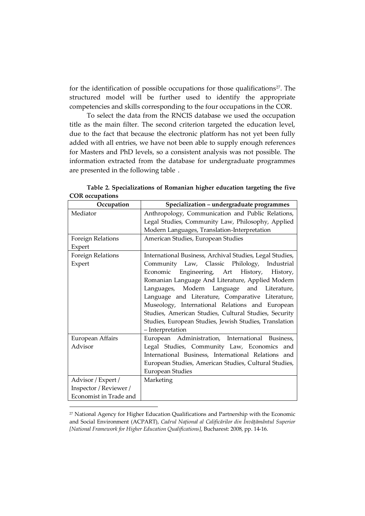for the identification of possible occupations for those qualifications $27$ . The structured model will be further used to identify the appropriate competencies and skills corresponding to the four occupations in the COR.

To select the data from the RNCIS database we used the occupation title as the main filter. The second criterion targeted the education level, due to the fact that because the electronic platform has not yet been fully added with all entries, we have not been able to supply enough references for Masters and PhD levels, so a consistent analysis was not possible. The information extracted from the database for undergraduate programmes are presented in the following table .

| Occupation             | Specialization - undergraduate programmes                |  |  |  |  |  |
|------------------------|----------------------------------------------------------|--|--|--|--|--|
| Mediator               | Anthropology, Communication and Public Relations,        |  |  |  |  |  |
|                        | Legal Studies, Community Law, Philosophy, Applied        |  |  |  |  |  |
|                        | Modern Languages, Translation-Interpretation             |  |  |  |  |  |
| Foreign Relations      | American Studies, European Studies                       |  |  |  |  |  |
| Expert                 |                                                          |  |  |  |  |  |
| Foreign Relations      | International Business, Archival Studies, Legal Studies, |  |  |  |  |  |
| Expert                 | Community Law, Classic Philology, Industrial             |  |  |  |  |  |
|                        | Economic Engineering, Art History,<br>History,           |  |  |  |  |  |
|                        | Romanian Language And Literature, Applied Modern         |  |  |  |  |  |
|                        | Languages, Modern Language and Literature,               |  |  |  |  |  |
|                        | Language and Literature, Comparative Literature,         |  |  |  |  |  |
|                        | Museology, International Relations and European          |  |  |  |  |  |
|                        | Studies, American Studies, Cultural Studies, Security    |  |  |  |  |  |
|                        | Studies, European Studies, Jewish Studies, Translation   |  |  |  |  |  |
|                        | - Interpretation                                         |  |  |  |  |  |
| European Affairs       | European Administration, International Business,         |  |  |  |  |  |
| Advisor                | Legal Studies, Community Law, Economics and              |  |  |  |  |  |
|                        | International Business, International Relations and      |  |  |  |  |  |
|                        | European Studies, American Studies, Cultural Studies,    |  |  |  |  |  |
|                        | <b>European Studies</b>                                  |  |  |  |  |  |
| Advisor / Expert /     | Marketing                                                |  |  |  |  |  |
| Inspector / Reviewer / |                                                          |  |  |  |  |  |
| Economist in Trade and |                                                          |  |  |  |  |  |
|                        |                                                          |  |  |  |  |  |

**Table 2. Specializations of Romanian higher education targeting the five COR occupations** 

<sup>27</sup> National Agency for Higher Education Qualifications and Partnership with the Economic and Social Environment (ACPART), *Cadrul Național al Calificărilor din Învățământul Superior [National Framework for Higher Education Qualifications]*, Bucharest: 2008, pp. 14-16.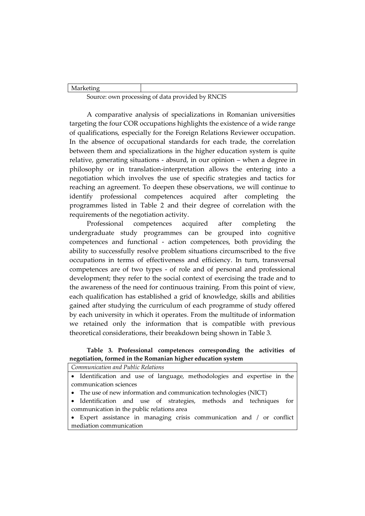| 1110111001114 |  |          |              |  |
|---------------|--|----------|--------------|--|
|               |  | .<br>. . | $\mathbf{r}$ |  |

Source: own processing of data provided by RNCIS

A comparative analysis of specializations in Romanian universities targeting the four COR occupations highlights the existence of a wide range of qualifications, especially for the Foreign Relations Reviewer occupation. In the absence of occupational standards for each trade, the correlation between them and specializations in the higher education system is quite relative, generating situations - absurd, in our opinion – when a degree in philosophy or in translation-interpretation allows the entering into a negotiation which involves the use of specific strategies and tactics for reaching an agreement. To deepen these observations, we will continue to identify professional competences acquired after completing the programmes listed in Table 2 and their degree of correlation with the requirements of the negotiation activity.

Professional competences acquired after completing the undergraduate study programmes can be grouped into cognitive competences and functional - action competences, both providing the ability to successfully resolve problem situations circumscribed to the five occupations in terms of effectiveness and efficiency. In turn, transversal competences are of two types - of role and of personal and professional development; they refer to the social context of exercising the trade and to the awareness of the need for continuous training. From this point of view, each qualification has established a grid of knowledge, skills and abilities gained after studying the curriculum of each programme of study offered by each university in which it operates. From the multitude of information we retained only the information that is compatible with previous theoretical considerations, their breakdown being shown in Table 3.

#### **Table 3. Professional competences corresponding the activities of negotiation, formed in the Romanian higher education system**

|  | Communication and Public Relations |  |  |                                                                          |  |  |
|--|------------------------------------|--|--|--------------------------------------------------------------------------|--|--|
|  |                                    |  |  | • Identification and use of language, methodologies and expertise in the |  |  |
|  |                                    |  |  |                                                                          |  |  |

communication sciences

The use of new information and communication technologies (NICT)

 Identification and use of strategies, methods and techniques for communication in the public relations area

 Expert assistance in managing crisis communication and / or conflict mediation communication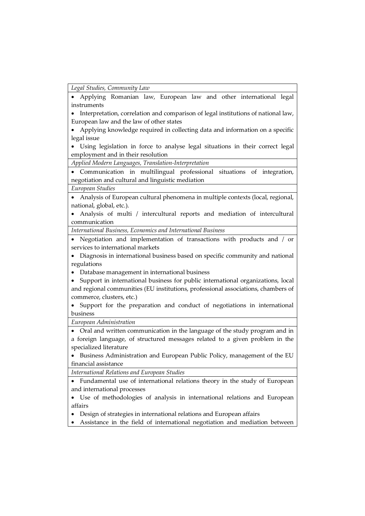*Legal Studies, Community Law* 

 Applying Romanian law, European law and other international legal instruments

 Interpretation, correlation and comparison of legal institutions of national law, European law and the law of other states

 Applying knowledge required in collecting data and information on a specific legal issue

 Using legislation in force to analyse legal situations in their correct legal employment and in their resolution

*Applied Modern Languages, Translation-Interpretation* 

 Communication in multilingual professional situations of integration, negotiation and cultural and linguistic mediation

*European Studies* 

 Analysis of European cultural phenomena in multiple contexts (local, regional, national, global, etc.).

 Analysis of multi / intercultural reports and mediation of intercultural communication

*International Business, Economics and International Business* 

 Negotiation and implementation of transactions with products and / or services to international markets

 Diagnosis in international business based on specific community and national regulations

Database management in international business

• Support in international business for public international organizations, local and regional communities (EU institutions, professional associations, chambers of commerce, clusters, etc.)

 Support for the preparation and conduct of negotiations in international business

*European Administration* 

 Oral and written communication in the language of the study program and in a foreign language, of structured messages related to a given problem in the specialized literature

• Business Administration and European Public Policy, management of the EU financial assistance

*International Relations and European Studies* 

 Fundamental use of international relations theory in the study of European and international processes

 Use of methodologies of analysis in international relations and European affairs

Design of strategies in international relations and European affairs

Assistance in the field of international negotiation and mediation between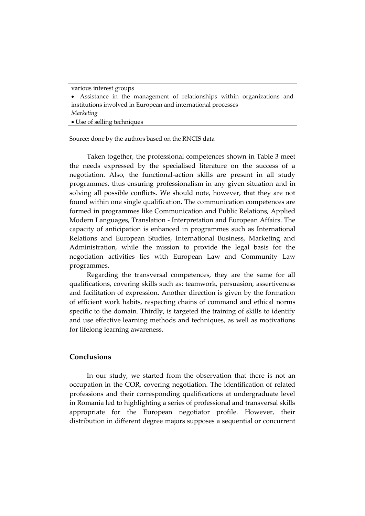| various interest groups                                                  |
|--------------------------------------------------------------------------|
| • Assistance in the management of relationships within organizations and |
| institutions involved in European and international processes            |
| Marketing                                                                |
| • Use of selling techniques                                              |

Source: done by the authors based on the RNCIS data

Taken together, the professional competences shown in Table 3 meet the needs expressed by the specialised literature on the success of a negotiation. Also, the functional-action skills are present in all study programmes, thus ensuring professionalism in any given situation and in solving all possible conflicts. We should note, however, that they are not found within one single qualification. The communication competences are formed in programmes like Communication and Public Relations, Applied Modern Languages, Translation - Interpretation and European Affairs. The capacity of anticipation is enhanced in programmes such as International Relations and European Studies, International Business, Marketing and Administration, while the mission to provide the legal basis for the negotiation activities lies with European Law and Community Law programmes.

Regarding the transversal competences, they are the same for all qualifications, covering skills such as: teamwork, persuasion, assertiveness and facilitation of expression. Another direction is given by the formation of efficient work habits, respecting chains of command and ethical norms specific to the domain. Thirdly, is targeted the training of skills to identify and use effective learning methods and techniques, as well as motivations for lifelong learning awareness.

# **Conclusions**

In our study, we started from the observation that there is not an occupation in the COR, covering negotiation. The identification of related professions and their corresponding qualifications at undergraduate level in Romania led to highlighting a series of professional and transversal skills appropriate for the European negotiator profile. However, their distribution in different degree majors supposes a sequential or concurrent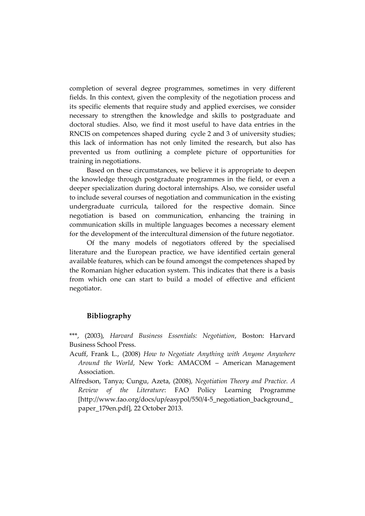completion of several degree programmes, sometimes in very different fields. In this context, given the complexity of the negotiation process and its specific elements that require study and applied exercises, we consider necessary to strengthen the knowledge and skills to postgraduate and doctoral studies. Also, we find it most useful to have data entries in the RNCIS on competences shaped during cycle 2 and 3 of university studies; this lack of information has not only limited the research, but also has prevented us from outlining a complete picture of opportunities for training in negotiations.

Based on these circumstances, we believe it is appropriate to deepen the knowledge through postgraduate programmes in the field, or even a deeper specialization during doctoral internships. Also, we consider useful to include several courses of negotiation and communication in the existing undergraduate curricula, tailored for the respective domain. Since negotiation is based on communication, enhancing the training in communication skills in multiple languages becomes a necessary element for the development of the intercultural dimension of the future negotiator.

Of the many models of negotiators offered by the specialised literature and the European practice, we have identified certain general available features, which can be found amongst the competences shaped by the Romanian higher education system. This indicates that there is a basis from which one can start to build a model of effective and efficient negotiator.

#### **Bibliography**

\*\*\*, (2003), *Harvard Business Essentials: Negotiation*, Boston: Harvard Business School Press.

- Acuff, Frank L., (2008) *How to Negotiate Anything with Anyone Anywhere Around the World*, New York: AMACOM – American Management Association.
- Alfredson, Tanya; Cungu, Azeta, (2008), *Negotiation Theory and Practice. A Review of the Literature*: FAO Policy Learning Programme [http://www.fao.org/docs/up/easypol/550/4-5\_negotiation\_background\_ paper\_179en.pdf], 22 October 2013.